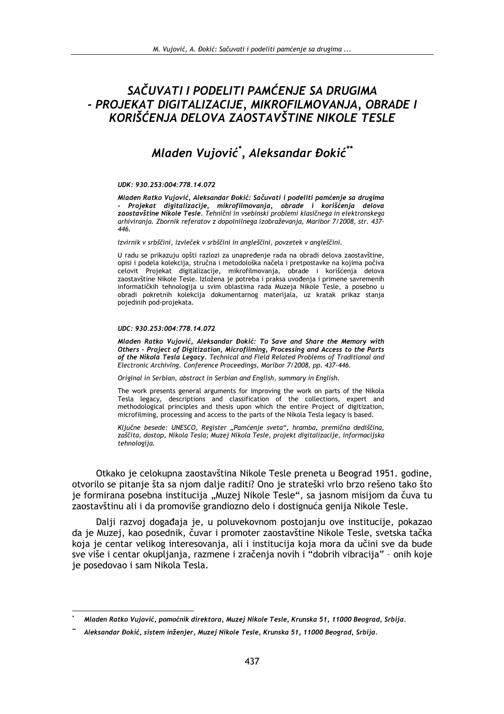# SAČUVATI I PODELITI PAMĆENJE SA DRUGIMA - PROJEKAT DIGITALIZACIJE, MIKROFILMOVANJA, OBRADE I KORIŠĆENJA DELOVA ZAOSTAVŠTINE NIKOLE TESLE

# Mladen Vujović\*, Aleksandar Đokić\*\*

### UDK: 930.253:004:778.14.072

Mladen Ratko Vujović, Aleksandar Đokić: Sačuvati i podeliti pamćenje sa drugima Projekat digitalizacije, mikrofilmovanja, obrade i korišćenja delova zaostavštine Nikole Tesle. Tehnični in vsebinski problemi klasičnega in elektronskega arhiviranja. Zbornik referatov z dopolnilnega izobraževanja, Maribor 7/2008, str. 437-446.

Izvirnik v srbščini, izvleček v srbščini in angleščini, povzetek v angleščini.

U radu se prikazuju opšti razlozi za unapređenje rada na obradi delova zaostavštine. opisi i podela kolekcija, stručna i metodološka načela i pretpostavke na kojima počiva celovit Projekat digitalizacije, mikrofilmovanja, obrade i korišćenja delova zaostavštine Nikole Tesle. Izložena je potreba i praksa uvođenja i primene savremenih informatičkih tehnologija u svim oblastima rada Muzeja Nikole Tesle, a posebno u obradi pokretnih kolekcija dokumentarnog materijala, uz kratak prikaz stanja pojedinih pod-projekata.

### UDC: 930.253:004:778.14.072

Mladen Ratko Vujović, Aleksandar Đokić: To Save and Share the Memory with Others - Project of Digitization, Microfilming, Processing and Access to the Parts of the Nikola Tesla Legacy. Technical and Field Related Problems of Traditional and Electronic Archiving. Conference Proceedings, Maribor 7/2008, pp. 437-446.

Original in Serbian, abstract in Serbian and English, summary in English.

The work presents general arguments for improving the work on parts of the Nikola Tesla legacy, descriptions and classification of the collections, expert and methodological principles and thesis upon which the entire Project of digitization, microfilming, processing and access to the parts of the Nikola Tesla legacy is based.

Ključne besede: UNESCO, Register "Pamćenje sveta", hramba, premična dediščina, zaščita, dostop, Nikola Tesla; Muzej Nikola Tesle, projekt digitalizacije, informacijska tehnologija.

Otkako je celokupna zaostavština Nikole Tesle preneta u Beograd 1951. godine, otvorilo se pitanje šta sa njom dalje raditi? Ono je strateški vrlo brzo rešeno tako što je formirana posebna institucija "Muzej Nikole Tesle", sa jasnom misijom da čuva tu zaostavštinu ali i da promoviše grandiozno delo i dostignuća genija Nikole Tesle.

Dalji razvoj događaja je, u poluvekovnom postojanju ove institucije, pokazao da je Muzej, kao posednik, čuvar i promoter zaostavštine Nikole Tesle, svetska tačka koja je centar velikog interesovanja, ali i institucija koja mora da učini sve da bude sve više i centar okupliania, razmene i zračenia novih i "dobrih vibracija" - onih koje je posedovao i sam Nikola Tesla.

Mladen Ratko Vujović, pomoćnik direktora, Muzej Nikole Tesle, Krunska 51, 11000 Beograd, Srbija.

Aleksandar Đokić, sistem inženjer, Muzej Nikole Tesle, Krunska 51, 11000 Beograd, Srbija.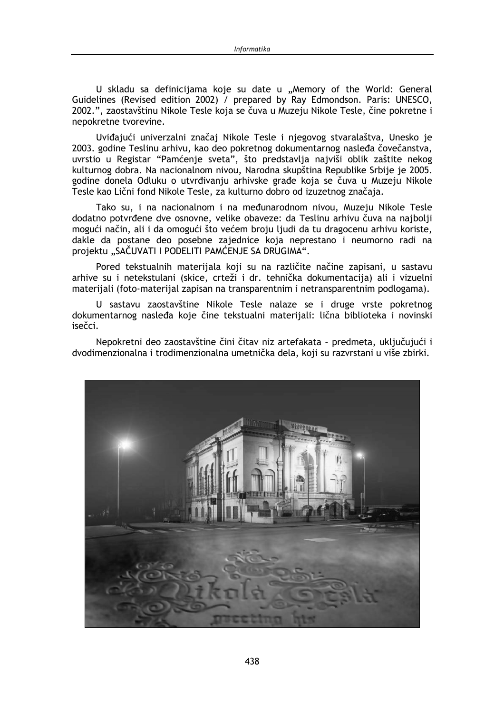U skladu sa definicijama koje su date u "Memory of the World: General Guidelines (Revised edition 2002) / prepared by Ray Edmondson, Paris: UNESCO, 2002.", zaostavštinu Nikole Tesle koja se čuva u Muzeju Nikole Tesle, čine pokretne i nepokretne tvorevine.

Uviđajući univerzalni značaj Nikole Tesle i njegovog stvaralaštva, Unesko je 2003. godine Teslinu arhivu, kao deo pokretnog dokumentarnog nasleđa čovečanstva, uvrstio u Registar "Pamćenje sveta", što predstavlja najviši oblik zaštite nekog kulturnog dobra. Na nacionalnom nivou, Narodna skupština Republike Srbije je 2005. godine donela Odluku o utvrđivanju arhivske građe koja se čuva u Muzeju Nikole Tesle kao Lični fond Nikole Tesle, za kulturno dobro od izuzetnog značaja.

Tako su, i na nacionalnom i na međunarodnom nivou, Muzeju Nikole Tesle dodatno potvrđene dve osnovne, velike obaveze: da Teslinu arhivu čuva na najbolji mogući način, ali i da omogući što većem broju ljudi da tu dragocenu arhivu koriste, dakle da postane deo posebne zajednice koja neprestano i neumorno radi na projektu "SAČUVATI I PODELITI PAMĆENJE SA DRUGIMA".

Pored tekstualnih materijala koji su na različite načine zapisani, u sastavu arhive su i netekstulani (skice, crteži i dr. tehnička dokumentacija) ali i vizuelni materijali (foto-materijal zapisan na transparentnim i netransparentnim podlogama).

U sastavu zaostavštine Nikole Tesle nalaze se i druge vrste pokretnog dokumentarnog nasleđa koje čine tekstualni materijali: lična biblioteka i novinski isečci.

Nepokretni deo zaostavštine čini čitav niz artefakata - predmeta, uključujući i dvodimenzionalna i trodimenzionalna umetnička dela, koji su razvrstani u više zbirki.

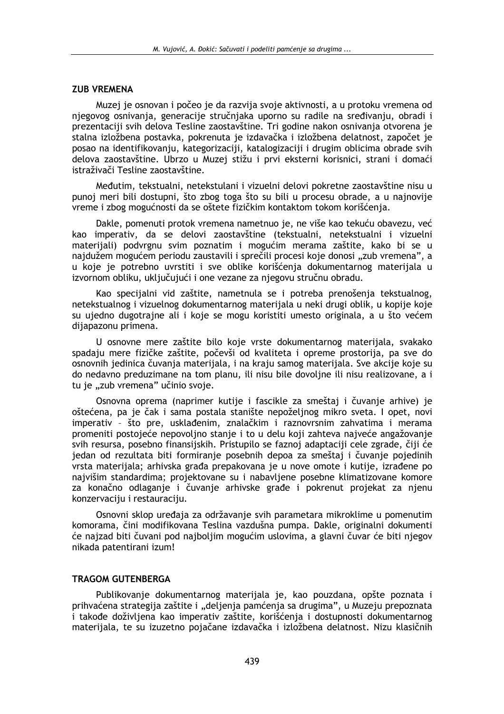### **ZUB VREMENA**

Muzej je osnovan i počeo je da razvija svoje aktivnosti, a u protoku vremena od njegovog osnivanja, generacije stručnjaka uporno su radile na sređivanju, obradi i prezentaciji svih delova Tesline zaostavštine. Tri godine nakon osnivanja otvorena je stalna izložbena postavka, pokrenuta je izdavačka i izložbena delatnost, započet ie posao na identifikovanju, kategorizaciji, katalogizaciji i drugim oblicima obrade svih delova zaostavštine. Ubrzo u Muzej stižu i prvi eksterni korisnici, strani i domaći istraživači Tesline zaostavštine.

Međutim, tekstualni, netekstulani i vizuelni delovi pokretne zaostavštine nisu u punoj meri bili dostupni, što zbog toga što su bili u procesu obrade, a u najnovije vreme i zbog mogućnosti da se oštete fizičkim kontaktom tokom korišćenja.

Dakle, pomenuti protok vremena nametnuo je, ne više kao tekuću obavezu, već kao imperativ, da se delovi zaostavštine (tekstualni, netekstualni i vizuelni materijali) podvrgnu svim poznatim i mogućim merama zaštite, kako bi se u najdužem mogućem periodu zaustavili i sprečili procesi koje donosi "zub vremena", a u koje je potrebno uvrstiti i sve oblike korišćenja dokumentarnog materijala u izvornom obliku, uključujući i one vezane za njegovu stručnu obradu.

Kao specijalni vid zaštite, nametnula se i potreba prenošenja tekstualnog, netekstualnog i vizuelnog dokumentarnog materijala u neki drugi oblik, u kopije koje su ujedno dugotrajne ali i koje se mogu koristiti umesto originala, a u što većem dijapazonu primena.

U osnovne mere zaštite bilo koje vrste dokumentarnog materijala, svakako spadaju mere fizičke zaštite, počevši od kvaliteta i opreme prostorija, pa sve do osnovnih jedinica čuvanja materijala, i na kraju samog materijala. Sve akcije koje su do nedavno preduzimane na tom planu, ili nisu bile dovoljne ili nisu realizovane, a i tu je "zub vremena" učinio svoje.

Osnovna oprema (naprimer kutije i fascikle za smeštaj i čuvanje arhive) je oštećena, pa je čak i sama postala stanište nepoželjnog mikro sveta. I opet, novi imperativ - što pre, usklađenim, znalačkim i raznovrsnim zahvatima i merama promeniti postojeće nepovoljno stanje i to u delu koji zahteva najveće angažovanje svih resursa, posebno finansijskih. Pristupilo se faznoj adaptaciji cele zgrade, čiji će jedan od rezultata biti formiranje posebnih depoa za smeštaj i čuvanje pojedinih vrsta materijala: arhivska građa prepakovana je u nove omote i kutije, izrađene po najvišim standardima; projektovane su i nabavljene posebne klimatizovane komore za konačno odlaganje i čuvanje arhivske građe i pokrenut projekat za njenu konzervaciju i restauraciju.

Osnovni sklop uređaja za održavanje svih parametara mikroklime u pomenutim komorama, čini modifikovana Teslina vazdušna pumpa. Dakle, originalni dokumenti će najzad biti čuvani pod najboljim mogućim uslovima, a glavni čuvar će biti njegov nikada patentirani izum!

### **TRAGOM GUTENBERGA**

Publikovanje dokumentarnog materijala je, kao pouzdana, opšte poznata i prihvaćena strategija zaštite i "deljenja pamćenja sa drugima", u Muzeju prepoznata i takođe doživljena kao imperativ zaštite, korišćenja i dostupnosti dokumentarnog materijala, te su izuzetno pojačane izdavačka i izložbena delatnost. Nizu klasičnih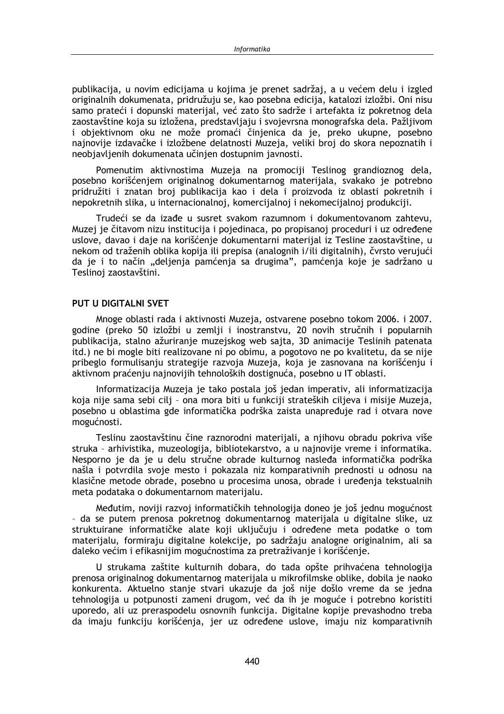publikacija, u novim edicijama u kojima je prenet sadržaj, a u većem delu i izgled originalnih dokumenata, pridružuju se, kao posebna edicija, katalozi izložbi. Oni nisu samo prateći i dopunski materijal, već zato što sadrže i artefakta iz pokretnog dela zaostavštine koja su izložena, predstavljaju i svojevrsna monografska dela. Pažljivom i objektivnom oku ne može promaći činjenica da je, preko ukupne, posebno najnovije izdavačke i izložbene delatnosti Muzeja, veliki broj do skora nepoznatih i neobjavljenih dokumenata učinjen dostupnim javnosti.

Pomenutim aktivnostima Muzeja na promociji Teslinog grandioznog dela, posebno korišćenjem originalnog dokumentarnog materijala, svakako je potrebno pridružiti i znatan broj publikacija kao i dela i proizvoda iz oblasti pokretnih i nepokretnih slika, u internacionalnoj, komercijalnoj i nekomecijalnoj produkciji.

Trudeći se da izađe u susret svakom razumnom i dokumentovanom zahtevu, Muzej je čitavom nizu institucija i pojedinaca, po propisanoj proceduri i uz određene uslove, davao i daje na korišćenje dokumentarni materijal iz Tesline zaostavštine, u nekom od traženih oblika kopija ili prepisa (analognih i/ili digitalnih), čvrsto verujući da ie i to način "deljenja pamćenja sa drugima", pamćenja koje je sadržano u Teslinoj zaostavštini.

### PUT U DIGITAL NI SVET

Mnoge oblasti rada i aktivnosti Muzeja, ostvarene posebno tokom 2006. i 2007. godine (preko 50 izložbi u zemlij i inostranstvu, 20 novih stručnih i popularnih publikacija, stalno ažuriranje muzejskog web sajta, 3D animacije Teslinih patenata itd.) ne bi mogle biti realizovane ni po obimu, a pogotovo ne po kvalitetu, da se nije pribeglo formulisanju strategije razvoja Muzeja, koja je zasnovana na korišćenju i aktivnom praćenju najnovijih tehnoloških dostignuća, posebno u IT oblasti.

Informatizacija Muzeja je tako postala još jedan imperativ, ali informatizacija koja nije sama sebi cilj - ona mora biti u funkciji strateških ciljeva i misije Muzeja, posebno u oblastima gde informatička podrška zaista unapređuje rad i otvara nove mogućnosti.

Teslinu zaostavštinu čine raznorodni materijali, a njihovu obradu pokriva više struka - arhivistika, muzeologija, bibliotekarstvo, a u najnovije vreme i informatika. Nesporno je da je u delu stručne obrade kulturnog nasleđa informatička podrška našla i potvrdila svoje mesto i pokazala niz komparativnih prednosti u odnosu na klasične metode obrade, posebno u procesima unosa, obrade i uređenja tekstualnih meta podataka o dokumentarnom materijalu.

Međutim, noviji razvoj informatičkih tehnologija doneo je još jednu mogućnost - da se putem prenosa pokretnog dokumentarnog materijala u digitalne slike, uz struktuirane informatičke alate koji uključuju i određene meta podatke o tom materijalu, formiraju digitalne kolekcije, po sadržaju analogne originalnim, ali sa daleko većim i efikasnijim mogućnostima za pretraživanje i korišćenje.

U strukama zaštite kulturnih dobara, do tada opšte prihvaćena tehnologija prenosa originalnog dokumentarnog materijala u mikrofilmske oblike, dobila je naoko konkurenta. Aktuelno stanje stvari ukazuje da još nije došlo vreme da se jedna tehnologija u potpunosti zameni drugom, već da ih je moguće i potrebno koristiti uporedo, ali uz preraspodelu osnovnih funkcija. Digitalne kopije prevashodno treba da imaju funkciju korišćenia, jer uz određene uslove, imaju niz komparativnih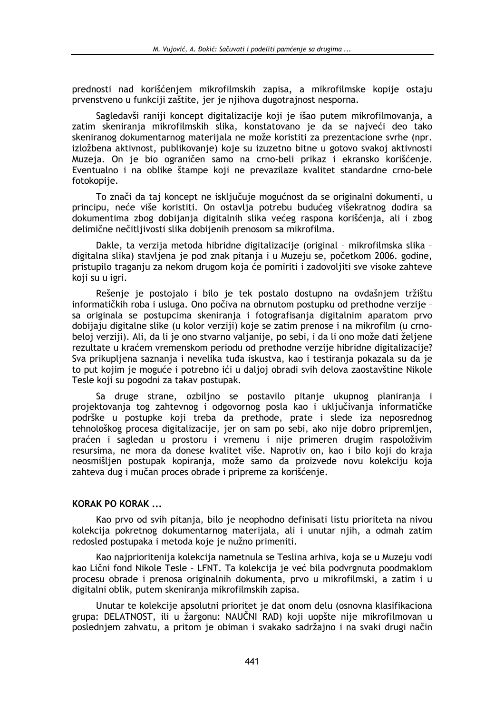prednosti nad korišćeniem mikrofilmskih zapisa, a mikrofilmske kopije ostaju prvenstveno u funkciji zaštite, jer je nijhova dugotrajnost nesporna.

Sagledavši raniji koncept digitalizacije koji je išao putem mikrofilmovanja, a zatim skenirania mikrofilmskih slika, konstatovano je da se najveći deo tako skeniranog dokumentarnog materijala ne može koristiti za prezentacione svrhe (npr. izložbena aktivnost, publikovanje) koje su izuzetno bitne u gotovo svakoj aktivnosti Muzeja. On je bio ograničen samo na crno-beli prikaz i ekransko korišćenje. Eventualno i na oblike štampe koji ne prevazilaze kvalitet standardne crno-bele fotokopije.

To znači da taj koncept ne isključuje mogućnost da se originalni dokumenti, u principu, neće više koristiti. On ostavlja potrebu budućeg višekratnog dodira sa dokumentima zbog dobijanja digitalnih slika većeg raspona korišćenja, ali i zbog delimične nečitljivosti slika dobijenih prenosom sa mikrofilma.

Dakle, ta verzija metoda hibridne digitalizacije (original - mikrofilmska slika digitalna slika) stavljena je pod znak pitanja i u Muzeju se, početkom 2006. godine, pristupilo traganju za nekom drugom koja će pomiriti i zadovoljiti sve visoke zahteve koji su u igri.

Rešenje je postojalo i bilo je tek postalo dostupno na ovdašnjem tržištu informatičkih roba i usluga. Ono počiva na obrnutom postupku od prethodne verzije sa originala se postupcima skeniranja i fotografisanja digitalnim aparatom prvo dobijaju digitalne slike (u kolor verziji) koje se zatim prenose i na mikrofilm (u crnobeloj verziji). Ali, da li je ono stvarno valjanije, po sebi, i da li ono može dati željene rezultate u kraćem vremenskom periodu od prethodne verzije hibridne digitalizacije? Sva prikupljena saznanja i nevelika tuđa iskustva, kao i testiranja pokazala su da je to put kojim je moguće i potrebno ići u daljoj obradi svih delova zaostavštine Nikole Tesle koji su pogodni za takav postupak.

Sa druge strane, ozbiljno se postavilo pitanje ukupnog planiranja i projektovanja tog zahtevnog i odgovornog posla kao i uključivanja informatičke podrške u postupke koji treba da prethode, prate i slede iza neposrednog tehnološkog procesa digitalizacije, jer on sam po sebi, ako nije dobro pripremljen, praćen i sagledan u prostoru i vremenu i nije primeren drugim raspoloživim resursima, ne mora da donese kvalitet više. Naprotiv on, kao i bilo koji do kraja neosmišlien postupak kopirania, može samo da proizvede novu kolekciju koja zahteva dug i mučan proces obrade i pripreme za korišćenje.

### **KORAK PO KORAK...**

Kao prvo od svih pitanja, bilo je neophodno definisati listu prioriteta na nivou kolekcija pokretnog dokumentarnog materijala, ali i unutar njih, a odmah zatim redosled postupaka i metoda koje je nužno primeniti.

Kao najprioritenija kolekcija nametnula se Teslina arhiva, koja se u Muzeju vodi kao Lični fond Nikole Tesle - LFNT. Ta kolekcija je već bila podvrgnuta poodmaklom procesu obrade i prenosa originalnih dokumenta, prvo u mikrofilmski, a zatim i u digitalni oblik, putem skeniranja mikrofilmskih zapisa.

Unutar te kolekcije apsolutni prioritet je dat onom delu (osnovna klasifikaciona grupa: DELATNOST, ili u žargonu: NAUČNI RAD) koji uopšte nije mikrofilmovan u poslednjem zahvatu, a pritom je obiman i svakako sadržajno i na svaki drugi način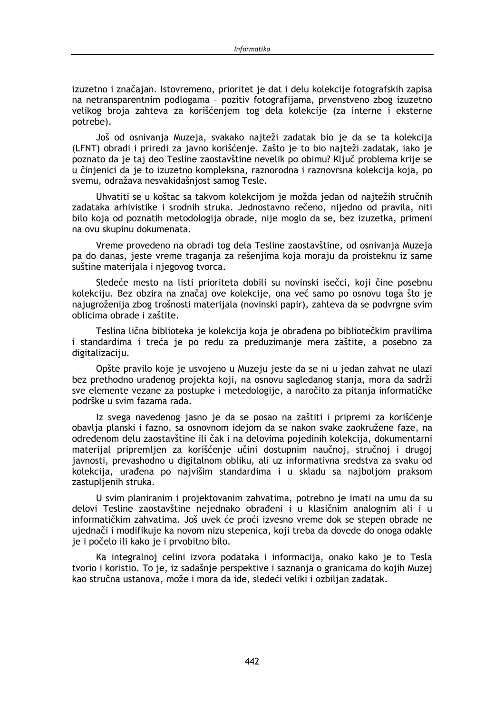izuzetno i značajan. Istovremeno, prioritet je dat i delu kolekcije fotografskih zapisa na netransparentnim podlogama - pozitiv fotografijama, prvenstveno zbog izuzetno velikog broja zahteva za korišćeniem tog dela kolekcije (za interne i eksterne potrebe).

Još od osnivanja Muzeja, svakako najteži zadatak bio je da se ta kolekcija (LFNT) obradi i priredi za javno korišćenje. Zašto je to bio najteži zadatak, iako je poznato da je taj deo Tesline zaostavštine nevelik po obimu? Ključ problema krije se u činjenici da je to izuzetno kompleksna, raznorodna i raznovrsna kolekcija koja, po svemu, odražava nesvakidašnjost samog Tesle.

Uhvatiti se u koštac sa takvom kolekcijom je možda jedan od najtežih stručnih zadataka arhivistike i srodnih struka. Jednostavno rečeno, nijedno od pravila, niti bilo koja od poznatih metodologija obrade, nije moglo da se, bez izuzetka, primeni na ovu skupinu dokumenata.

Vreme provedeno na obradi tog dela Tesline zaostavštine, od osnivanja Muzeja pa do danas, jeste vreme traganja za rešenjima koja moraju da proisteknu iz same suštine materijala i njegovog tvorca.

Sledeće mesto na listi prioriteta dobili su novinski isečci, koji čine posebnu kolekciju. Bez obzira na značaj ove kolekcije, ona već samo po osnovu toga što je najugroženija zbog trošnosti materijala (novinski papir), zahteva da se podvrgne svim oblicima obrade i zaštite.

Teslina lična biblioteka je kolekcija koja je obrađena po bibliotečkim pravilima i standardima i treća je po redu za preduzimanje mera zaštite, a posebno za digitalizaciju.

Opšte pravilo koje je usvojeno u Muzeju jeste da se ni u jedan zahvat ne ulazi bez prethodno urađenog projekta koji, na osnovu sagledanog stanja, mora da sadrži sve elemente vezane za postupke i metedologije, a naročito za pitanja informatičke podrške u svim fazama rada.

Iz svega navedenog jasno je da se posao na zaštiti i pripremi za korišćenje obavlja planski i fazno, sa osnovnom idejom da se nakon svake zaokružene faze, na određenom delu zaostavštine ili čak i na delovima pojedinih kolekcija, dokumentarni materijal pripremljen za korišćenje učini dostupnim naučnoj, stručnoj i drugoj javnosti, prevashodno u digitalnom obliku, ali uz informativna sredstva za svaku od kolekcija, urađena po najvišim standardima i u skladu sa najboljom praksom zastupljenih struka.

U svim planiranim i projektovanim zahvatima, potrebno je imati na umu da su delovi Tesline zaostavštine nejednako obrađeni i u klasičnim analognim ali i u informatičkim zahvatima. Još uvek će proći izvesno vreme dok se stepen obrade ne ujednači i modifikuje ka novom nizu stepenica, koji treba da dovede do onoga odakle je i počelo ili kako je i prvobitno bilo.

Ka integralnoj celini izvora podataka i informacija, onako kako je to Tesla tvorio i koristio. To je, iz sadašnje perspektive i saznanja o granicama do kojih Muzej kao stručna ustanova, može i mora da ide, sledeći veliki i ozbiljan zadatak.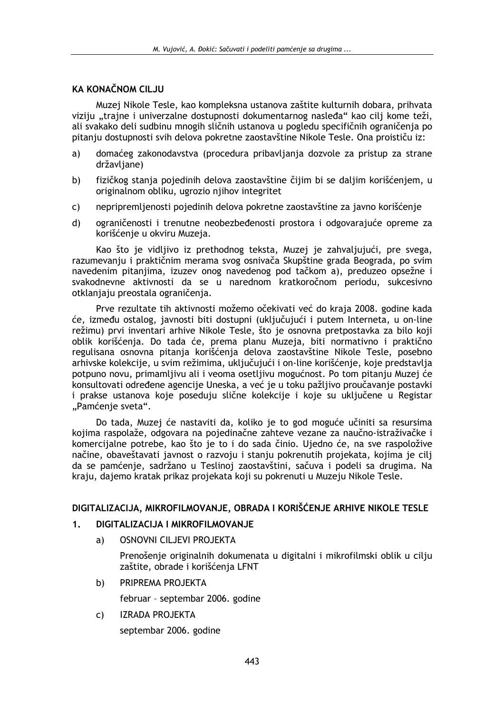## **KA KONAČNOM CILJU**

Muzej Nikole Tesle, kao kompleksna ustanova zaštite kulturnih dobara, prihvata viziju "trajne i univerzalne dostupnosti dokumentarnog nasleđa" kao cilj kome teži, ali svakako deli sudbinu mnogih sličnih ustanova u pogledu specifičnih ograničenia po pitanju dostupnosti svih delova pokretne zaostavštine Nikole Tesle. Ona proističu iz:

- domaćeg zakonodavstva (procedura pribavljanja dozvole za pristup za strane  $a)$ državljane)
- fizičkog stanja pojedinih delova zaostavštine čijim bi se daljim korišćenjem, u b) originalnom obliku, ugrozio njihov integritet
- $\mathsf{C}$ nepripremljenosti pojedinih delova pokretne zaostavštine za javno korišćenje
- ograničenosti i trenutne neobezbeđenosti prostora i odgovarajuće opreme za d) korišćenje u okviru Muzeja.

Kao što je vidljivo iz prethodnog teksta, Muzej je zahvaljujući, pre svega, razumevanju i praktičnim merama svog osnivača Skupštine grada Beograda, po svim navedenim pitanjima, izuzev onog navedenog pod tačkom a), preduzeo opsežne i svakodnevne aktivnosti da se u narednom kratkoročnom periodu, sukcesivno otklanjaju preostala ograničenja.

Prve rezultate tih aktivnosti možemo očekivati već do kraja 2008. godine kada će, između ostalog, javnosti biti dostupni (uključujući i putem Interneta, u on-line režimu) prvi inventari arhive Nikole Tesle, što je osnovna pretpostavka za bilo koji oblik korišćenja. Do tada će, prema planu Muzeja, biti normativno i praktično regulisana osnovna pitanja korišćenja delova zaostavštine Nikole Tesle, posebno arhivske kolekcije, u svim režimima, uključujući i on-line korišćenje, koje predstavlja potpuno novu, primamljivu ali i veoma osetljivu mogućnost. Po tom pitanju Muzej će konsultovati određene agencije Uneska, a već je u toku pažljivo proučavanje postavki i prakse ustanova koje poseduju slične kolekcije i koje su uključene u Registar "Pamćenje sveta".

Do tada, Muzej će nastaviti da, koliko je to god moguće učiniti sa resursima kojima raspolaže, odgovara na pojedinačne zahteve vezane za naučno-istraživačke i komercijalne potrebe, kao što je to i do sada činio. Ujedno će, na sve raspoložive načine, obaveštavati javnost o razvoju i stanju pokrenutih projekata, kojima je cilj da se pamćenje, sadržano u Teslinoj zaostavštini, sačuva i podeli sa drugima. Na kraju, dajemo kratak prikaz projekata koji su pokrenuti u Muzeju Nikole Tesle.

### DIGITALIZACIJA, MIKROFILMOVANJE, OBRADA I KORIŠĆENJE ARHIVE NIKOLE TESLE

#### $1.$ DIGITALIZACIJA I MIKROFILMOVANJE

a) OSNOVNI CILJEVI PROJEKTA

> Prenošenje originalnih dokumenata u digitalni i mikrofilmski oblik u cilju zaštite, obrade i korišćenja LFNT

- PRIPREMA PROJEKTA b) februar - septembar 2006. godine
- $\mathsf{C}$ **IZRADA PROJEKTA** septembar 2006. godine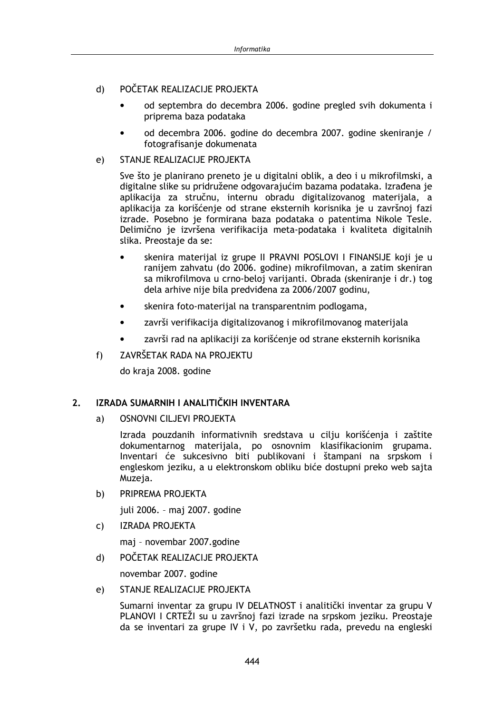#### POČETAK REALIZACIJE PROJEKTA  $\mathbf{d}$

- od septembra do decembra 2006. godine pregled svih dokumenta i priprema baza podataka
- od decembra 2006. godine do decembra 2007. godine skeniranje / fotografisanie dokumenata
- STANJE REALIZACIJE PROJEKTA  $e)$

Sve što je planirano preneto je u digitalni oblik, a deo i u mikrofilmski, a digitalne slike su pridružene odgovarajućim bazama podataka. Izrađena je aplikacija za stručnu, internu obradu digitalizovanog materijala, a aplikacija za korišćenje od strane eksternih korisnika je u završnoj fazi izrade. Posebno je formirana baza podataka o patentima Nikole Tesle. Delimično je izvršena verifikacija meta-podataka i kvaliteta digitalnih slika. Preostaje da se:

- skenira materijal iz grupe II PRAVNI POSLOVI I FINANSIJE koji je u ranijem zahvatu (do 2006. godine) mikrofilmovan, a zatim skeniran sa mikrofilmova u crno-beloj varijanti. Obrada (skeniranje i dr.) tog dela arhive nije bila predviđena za 2006/2007 godinu,
- skenira foto-materijal na transparentnim podlogama,
- završi verifikacija digitalizovanog i mikrofilmovanog materijala
- završi rad na aplikaciji za korišćenje od strane eksternih korisnika
- ZAVRŠETAK RADA NA PROJEKTU  $f$ )

do kraja 2008. godine

#### IZRADA SUMARNIH I ANALITIČKIH INVENTARA  $2<sub>1</sub>$

OSNOVNI CILJEVI PROJEKTA  $a)$ 

> Izrada pouzdanih informativnih sredstava u cilju korišćenja i zaštite dokumentarnog materijala, po osnovnim klasifikacionim grupama. Inventari će sukcesivno biti publikovani i štampani na srpskom i engleskom jeziku, a u elektronskom obliku biće dostupni preko web sajta Muzeja.

 $b)$ PRIPREMA PROJEKTA

iuli 2006. - maj 2007. godine

**IZRADA PROJEKTA**  $\mathsf{C}$ 

mai - novembar 2007.godine

POČETAK REALIZACIJE PROJEKTA  $\mathsf{d}$ 

novembar 2007. godine

STANJE REALIZACIJE PROJEKTA  $e)$ 

> Sumarni inventar za grupu IV DELATNOST i analitički inventar za grupu V PLANOVI I CRTEŽI su u završnoj fazi izrade na srpskom jeziku. Preostaje da se inventari za grupe IV i V, po završetku rada, prevedu na engleski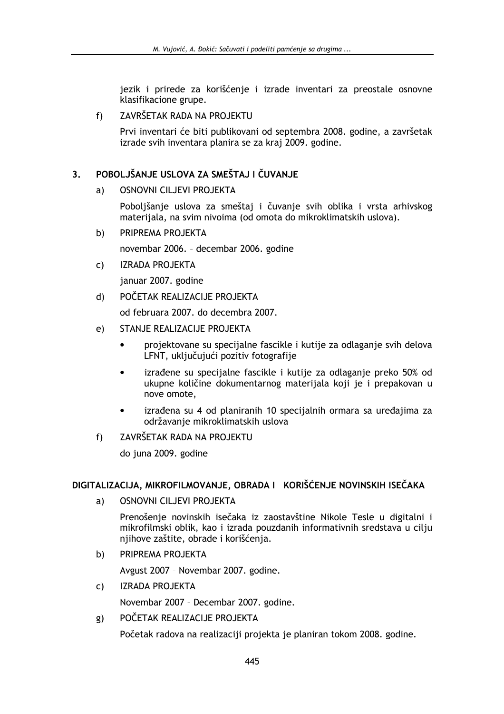jezik i prirede za korišćenie i izrade inventari za preostale osnovne klasifikacione grupe.

#### $f$ ZAVRŠETAK RADA NA PROJEKTU

Prvi inventari će biti publikovani od septembra 2008. godine, a završetak izrade svih inventara planira se za kraj 2009. godine.

#### POBOLJŠANJE USLOVA ZA SMEŠTAJ I ČUVANJE  $\mathbf{3}$

#### OSNOVNI CILJEVI PROJEKTA  $a)$

Poboljšanje uslova za smeštaj i čuvanje svih oblika i vrsta arhivskog materijala, na svim nivoima (od omota do mikroklimatskih uslova).

PRIPREMA PROJEKTA b)

novembar 2006. - decembar 2006. godine

**IZRADA PROJEKTA**  $\mathsf{C}$ 

januar 2007. godine

POČETAK REALIZACIJE PROJEKTA  $\mathbf{d}$ 

od februara 2007, do decembra 2007.

- STANJE REALIZACIJE PROJEKTA  $e)$ 
	- projektovane su specijalne fascikle i kutije za odlaganje svih delova LFNT, uključujući pozitiv fotografije
	- izrađene su specijalne fascikle i kutije za odlaganje preko 50% od ukupne količine dokumentarnog materijala koji je i prepakovan u nove omote,
	- izrađena su 4 od planiranih 10 specijalnih ormara sa uređajima za održavanje mikroklimatskih uslova
- $f$ ) ZAVRŠETAK RADA NA PROJEKTU

do juna 2009. godine

### DIGITALIZACIJA, MIKROFILMOVANJE, OBRADA I KORIŠĆENJE NOVINSKIH ISEČAKA

OSNOVNI CILJEVI PROJEKTA  $a)$ 

> Prenošenie novinskih isečaka iz zaostavštine Nikole Tesle u digitalni i mikrofilmski oblik, kao i izrada pouzdanih informativnih sredstava u ciliu nijhove zaštite, obrade i korišćenia.

PRIPREMA PROJEKTA  $b)$ 

Avgust 2007 - Novembar 2007. godine.

**IZRADA PROJEKTA**  $\mathsf{C}$ 

Novembar 2007 - Decembar 2007. godine.

POČETAK REALIZACIJE PROJEKTA g)

Početak radova na realizaciji projekta je planiran tokom 2008. godine.